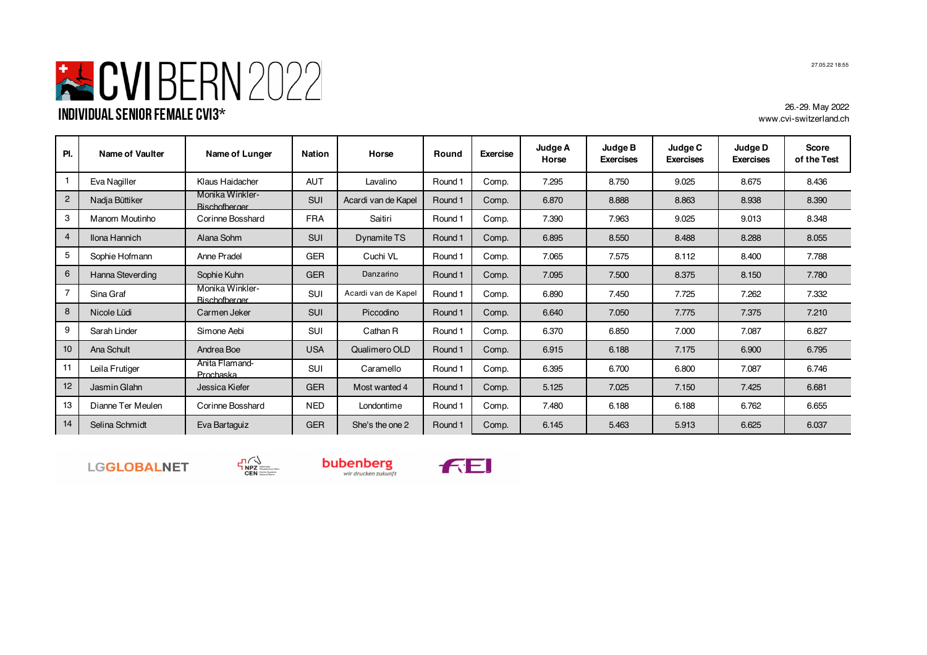

26.-29. May 2022 www.cvi-switzerland.ch

| PI.            | Name of Vaulter   | Name of Lunger                          | <b>Nation</b> | Horse               | Round   | Exercise | Judge A<br>Horse | Judge B<br><b>Exercises</b> | Judge C<br><b>Exercises</b> | Judge D<br><b>Exercises</b> | <b>Score</b><br>of the Test |
|----------------|-------------------|-----------------------------------------|---------------|---------------------|---------|----------|------------------|-----------------------------|-----------------------------|-----------------------------|-----------------------------|
| 1              | Eva Nagiller      | Klaus Haidacher                         | <b>AUT</b>    | Lavalino            | Round 1 | Comp.    | 7.295            | 8.750                       | 9.025                       | 8.675                       | 8.436                       |
| $\overline{2}$ | Nadja Büttiker    | Monika Winkler-<br><b>Bischofberger</b> | <b>SUI</b>    | Acardi van de Kapel | Round 1 | Comp.    | 6.870            | 8.888                       | 8.863                       | 8.938                       | 8.390                       |
| 3              | Manom Moutinho    | Corinne Bosshard                        | <b>FRA</b>    | Saitiri             | Round 1 | Comp.    | 7.390            | 7.963                       | 9.025                       | 9.013                       | 8.348                       |
| $\overline{4}$ | Ilona Hannich     | Alana Sohm                              | <b>SUI</b>    | Dynamite TS         | Round 1 | Comp.    | 6.895            | 8.550                       | 8.488                       | 8.288                       | 8.055                       |
| 5              | Sophie Hofmann    | Anne Pradel                             | <b>GER</b>    | Cuchi VL            | Round 1 | Comp.    | 7.065            | 7.575                       | 8.112                       | 8.400                       | 7.788                       |
| 6              | Hanna Steverding  | Sophie Kuhn                             | <b>GER</b>    | Danzarino           | Round 1 | Comp.    | 7.095            | 7.500                       | 8.375                       | 8.150                       | 7.780                       |
| $\overline{7}$ | Sina Graf         | Monika Winkler-<br><b>Rischofberger</b> | SUI           | Acardi van de Kapel | Round 1 | Comp.    | 6.890            | 7.450                       | 7.725                       | 7.262                       | 7.332                       |
| 8              | Nicole Lüdi       | Carmen Jeker                            | <b>SUI</b>    | Piccodino           | Round 1 | Comp.    | 6.640            | 7.050                       | 7.775                       | 7.375                       | 7.210                       |
| 9              | Sarah Linder      | Simone Aebi                             | SUI           | Cathan R            | Round 1 | Comp.    | 6.370            | 6.850                       | 7.000                       | 7.087                       | 6.827                       |
| 10             | Ana Schult        | Andrea Boe                              | <b>USA</b>    | Qualimero OLD       | Round 1 | Comp.    | 6.915            | 6.188                       | 7.175                       | 6.900                       | 6.795                       |
| 11             | Leila Frutiger    | Anita Flamand-<br>Prochaska             | SUI           | Caramello           | Round 1 | Comp.    | 6.395            | 6.700                       | 6.800                       | 7.087                       | 6.746                       |
| 12             | Jasmin Glahn      | Jessica Kiefer                          | <b>GER</b>    | Most wanted 4       | Round 1 | Comp.    | 5.125            | 7.025                       | 7.150                       | 7.425                       | 6.681                       |
| 13             | Dianne Ter Meulen | Corinne Bosshard                        | <b>NED</b>    | Londontime          | Round 1 | Comp.    | 7.480            | 6.188                       | 6.188                       | 6.762                       | 6.655                       |
| 14             | Selina Schmidt    | Eva Bartaguiz                           | <b>GER</b>    | She's the one 2     | Round 1 | Comp.    | 6.145            | 5.463                       | 5.913                       | 6.625                       | 6.037                       |

LGGLOBALNET